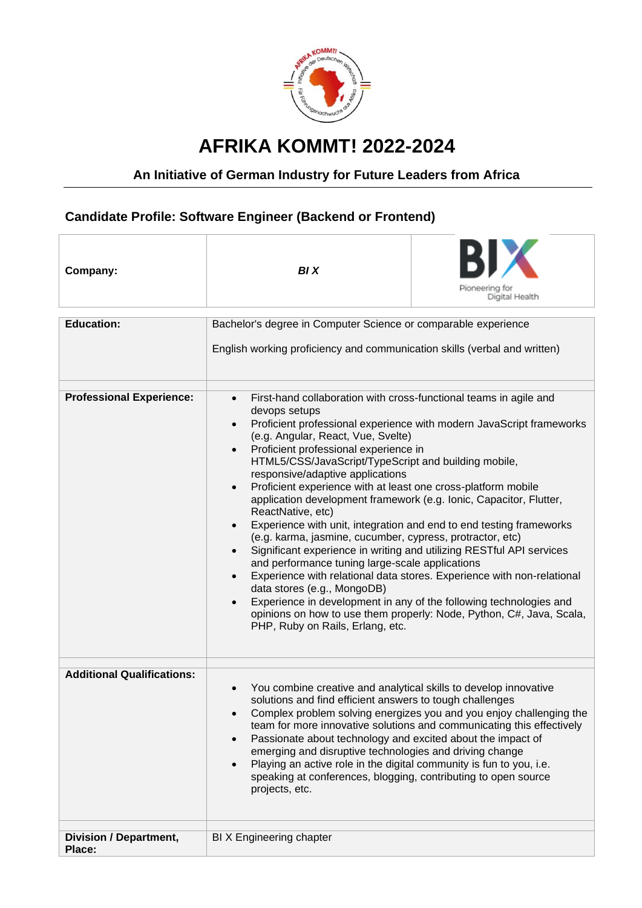

## **AFRIKA KOMMT! 2022-2024**

## **An Initiative of German Industry for Future Leaders from Africa**

## **Candidate Profile: Software Engineer (Backend or Frontend)**

| Company:                                | <b>BIX</b>                                                                                                                                                                                                                                                                                                                                                                                                                                                                                                                                                                                                                                                                                                                                                                                                                                                                                                                                                                                                                                                                                                                                             | Pioneering for<br>Digital Health                                                                                                             |
|-----------------------------------------|--------------------------------------------------------------------------------------------------------------------------------------------------------------------------------------------------------------------------------------------------------------------------------------------------------------------------------------------------------------------------------------------------------------------------------------------------------------------------------------------------------------------------------------------------------------------------------------------------------------------------------------------------------------------------------------------------------------------------------------------------------------------------------------------------------------------------------------------------------------------------------------------------------------------------------------------------------------------------------------------------------------------------------------------------------------------------------------------------------------------------------------------------------|----------------------------------------------------------------------------------------------------------------------------------------------|
| <b>Education:</b>                       | Bachelor's degree in Computer Science or comparable experience                                                                                                                                                                                                                                                                                                                                                                                                                                                                                                                                                                                                                                                                                                                                                                                                                                                                                                                                                                                                                                                                                         |                                                                                                                                              |
|                                         | English working proficiency and communication skills (verbal and written)                                                                                                                                                                                                                                                                                                                                                                                                                                                                                                                                                                                                                                                                                                                                                                                                                                                                                                                                                                                                                                                                              |                                                                                                                                              |
| <b>Professional Experience:</b>         | First-hand collaboration with cross-functional teams in agile and<br>$\bullet$<br>devops setups<br>Proficient professional experience with modern JavaScript frameworks<br>$\bullet$<br>(e.g. Angular, React, Vue, Svelte)<br>Proficient professional experience in<br>$\bullet$<br>HTML5/CSS/JavaScript/TypeScript and building mobile,<br>responsive/adaptive applications<br>Proficient experience with at least one cross-platform mobile<br>$\bullet$<br>application development framework (e.g. Ionic, Capacitor, Flutter,<br>ReactNative, etc)<br>Experience with unit, integration and end to end testing frameworks<br>$\bullet$<br>(e.g. karma, jasmine, cucumber, cypress, protractor, etc)<br>Significant experience in writing and utilizing RESTful API services<br>$\bullet$<br>and performance tuning large-scale applications<br>Experience with relational data stores. Experience with non-relational<br>$\bullet$<br>data stores (e.g., MongoDB)<br>Experience in development in any of the following technologies and<br>opinions on how to use them properly: Node, Python, C#, Java, Scala,<br>PHP, Ruby on Rails, Erlang, etc. |                                                                                                                                              |
| <b>Additional Qualifications:</b>       | You combine creative and analytical skills to develop innovative<br>$\bullet$<br>solutions and find efficient answers to tough challenges<br>$\bullet$<br>Passionate about technology and excited about the impact of<br>$\bullet$<br>emerging and disruptive technologies and driving change<br>Playing an active role in the digital community is fun to you, i.e.<br>$\bullet$<br>speaking at conferences, blogging, contributing to open source<br>projects, etc.                                                                                                                                                                                                                                                                                                                                                                                                                                                                                                                                                                                                                                                                                  | Complex problem solving energizes you and you enjoy challenging the<br>team for more innovative solutions and communicating this effectively |
| <b>Division / Department,</b><br>Place: | BIX Engineering chapter                                                                                                                                                                                                                                                                                                                                                                                                                                                                                                                                                                                                                                                                                                                                                                                                                                                                                                                                                                                                                                                                                                                                |                                                                                                                                              |